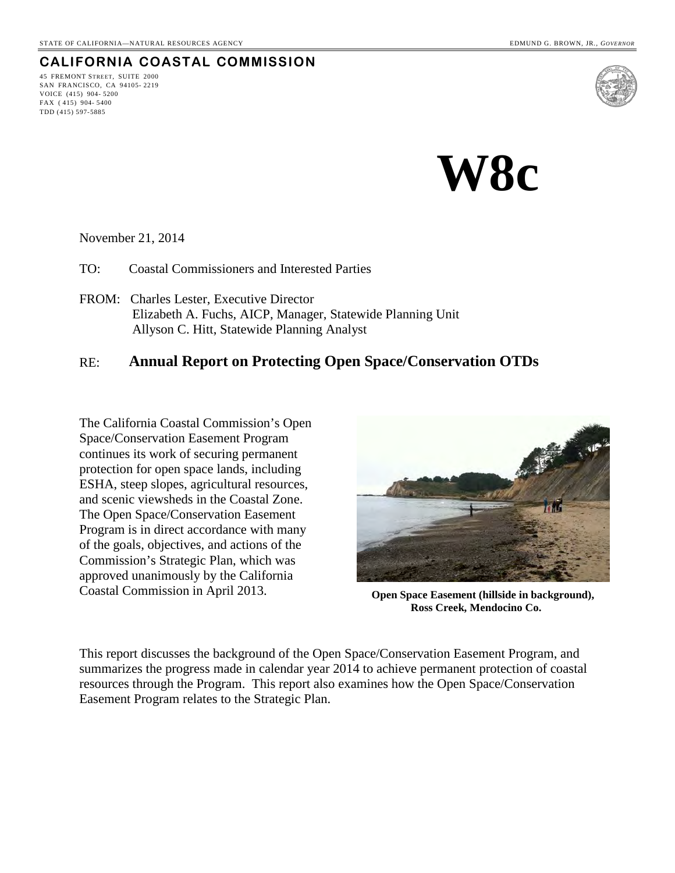## **CALIFORNIA COASTAL COMMISSION**

45 FREMONT STREET, SUITE 2000 SAN FRANCISCO, CA 94105- 2219 VOICE (415) 904- 5200 FAX ( 415) 904- 5400 TDD (415) 597-5885



**W8c** 

November 21, 2014

TO: Coastal Commissioners and Interested Parties

FROM: Charles Lester, Executive Director Elizabeth A. Fuchs, AICP, Manager, Statewide Planning Unit Allyson C. Hitt, Statewide Planning Analyst

### RE: **Annual Report on Protecting Open Space/Conservation OTDs**

The California Coastal Commission's Open Space/Conservation Easement Program continues its work of securing permanent protection for open space lands, including ESHA, steep slopes, agricultural resources, and scenic viewsheds in the Coastal Zone. The Open Space/Conservation Easement Program is in direct accordance with many of the goals, objectives, and actions of the Commission's Strategic Plan, which was approved unanimously by the California Coastal Commission in April 2013. **Open Space Easement (hillside in background),** 



**Ross Creek, Mendocino Co.**

This report discusses the background of the Open Space/Conservation Easement Program, and summarizes the progress made in calendar year 2014 to achieve permanent protection of coastal resources through the Program. This report also examines how the Open Space/Conservation Easement Program relates to the Strategic Plan.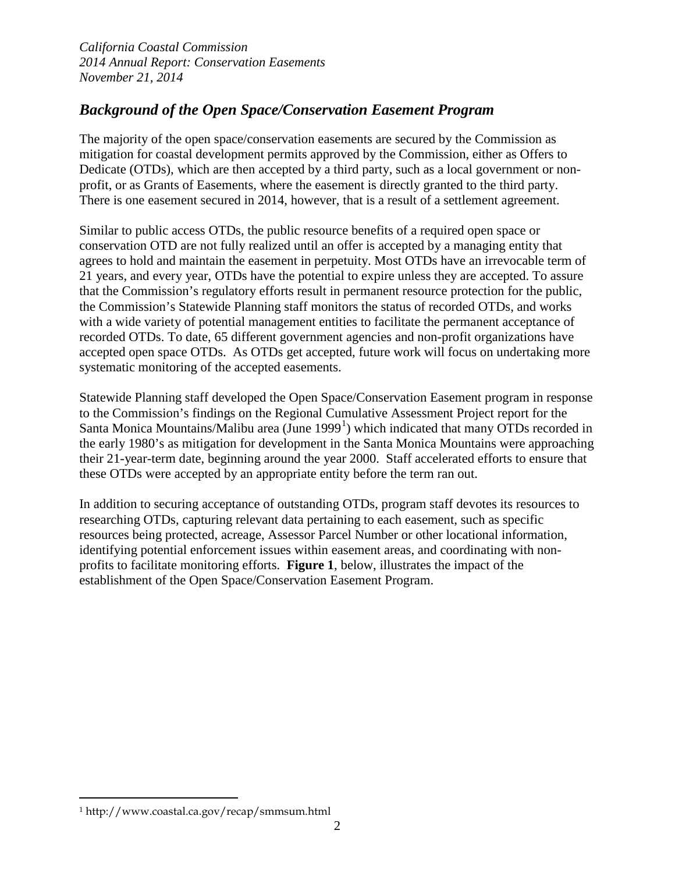# *Background of the Open Space/Conservation Easement Program*

The majority of the open space/conservation easements are secured by the Commission as mitigation for coastal development permits approved by the Commission, either as Offers to Dedicate (OTDs), which are then accepted by a third party, such as a local government or nonprofit, or as Grants of Easements, where the easement is directly granted to the third party. There is one easement secured in 2014, however, that is a result of a settlement agreement.

Similar to public access OTDs, the public resource benefits of a required open space or conservation OTD are not fully realized until an offer is accepted by a managing entity that agrees to hold and maintain the easement in perpetuity. Most OTDs have an irrevocable term of 21 years, and every year, OTDs have the potential to expire unless they are accepted. To assure that the Commission's regulatory efforts result in permanent resource protection for the public, the Commission's Statewide Planning staff monitors the status of recorded OTDs, and works with a wide variety of potential management entities to facilitate the permanent acceptance of recorded OTDs. To date, 65 different government agencies and non-profit organizations have accepted open space OTDs. As OTDs get accepted, future work will focus on undertaking more systematic monitoring of the accepted easements.

Statewide Planning staff developed the Open Space/Conservation Easement program in response to the Commission's findings on the Regional Cumulative Assessment Project report for the Santa Monica Mountains/Malibu area (June [1](#page-1-0)999<sup>1</sup>) which indicated that many OTDs recorded in the early 1980's as mitigation for development in the Santa Monica Mountains were approaching their 21-year-term date, beginning around the year 2000. Staff accelerated efforts to ensure that these OTDs were accepted by an appropriate entity before the term ran out.

In addition to securing acceptance of outstanding OTDs, program staff devotes its resources to researching OTDs, capturing relevant data pertaining to each easement, such as specific resources being protected, acreage, Assessor Parcel Number or other locational information, identifying potential enforcement issues within easement areas, and coordinating with nonprofits to facilitate monitoring efforts. **Figure 1**, below, illustrates the impact of the establishment of the Open Space/Conservation Easement Program.

 $\overline{a}$ 

<span id="page-1-0"></span><sup>1</sup> http://www.coastal.ca.gov/recap/smmsum.html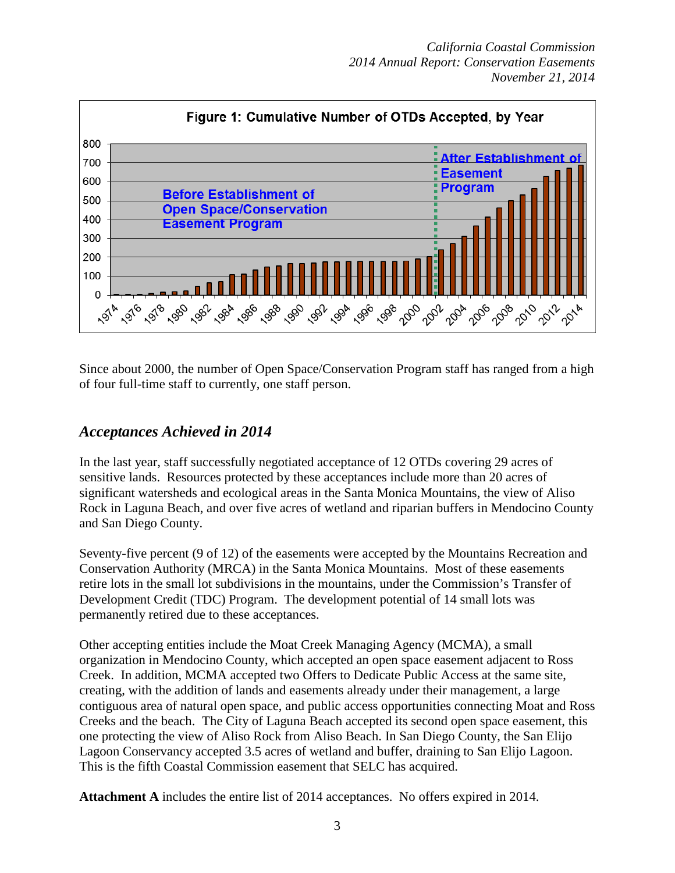

Since about 2000, the number of Open Space/Conservation Program staff has ranged from a high of four full-time staff to currently, one staff person.

## *Acceptances Achieved in 2014*

In the last year, staff successfully negotiated acceptance of 12 OTDs covering 29 acres of sensitive lands. Resources protected by these acceptances include more than 20 acres of significant watersheds and ecological areas in the Santa Monica Mountains, the view of Aliso Rock in Laguna Beach, and over five acres of wetland and riparian buffers in Mendocino County and San Diego County.

Seventy-five percent (9 of 12) of the easements were accepted by the Mountains Recreation and Conservation Authority (MRCA) in the Santa Monica Mountains. Most of these easements retire lots in the small lot subdivisions in the mountains, under the Commission's Transfer of Development Credit (TDC) Program. The development potential of 14 small lots was permanently retired due to these acceptances.

Other accepting entities include the Moat Creek Managing Agency (MCMA), a small organization in Mendocino County, which accepted an open space easement adjacent to Ross Creek. In addition, MCMA accepted two Offers to Dedicate Public Access at the same site, creating, with the addition of lands and easements already under their management, a large contiguous area of natural open space, and public access opportunities connecting Moat and Ross Creeks and the beach. The City of Laguna Beach accepted its second open space easement, this one protecting the view of Aliso Rock from Aliso Beach. In San Diego County, the San Elijo Lagoon Conservancy accepted 3.5 acres of wetland and buffer, draining to San Elijo Lagoon. This is the fifth Coastal Commission easement that SELC has acquired.

**Attachment A** includes the entire list of 2014 acceptances. No offers expired in 2014.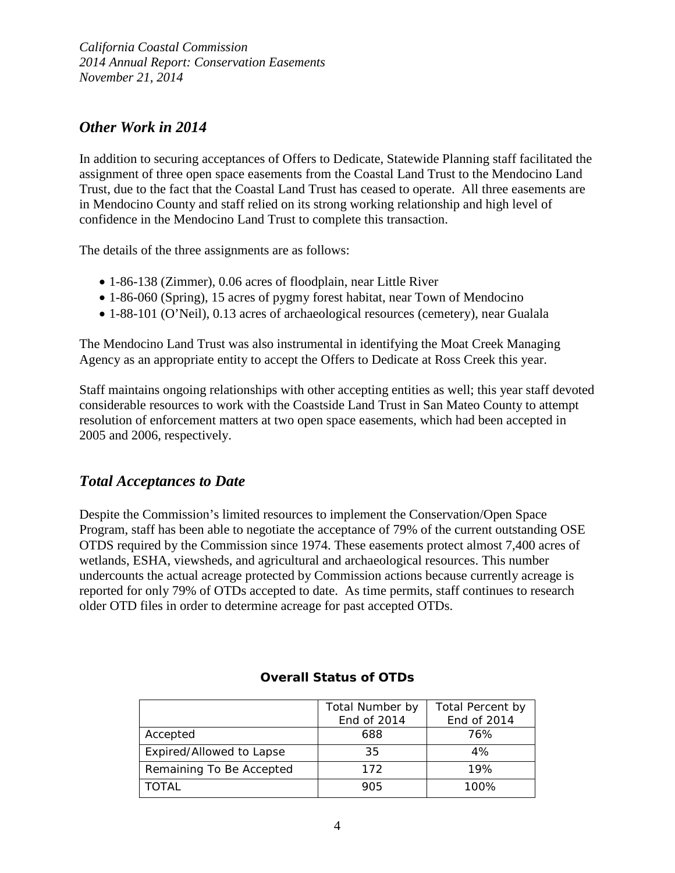## *Other Work in 2014*

In addition to securing acceptances of Offers to Dedicate, Statewide Planning staff facilitated the assignment of three open space easements from the Coastal Land Trust to the Mendocino Land Trust, due to the fact that the Coastal Land Trust has ceased to operate. All three easements are in Mendocino County and staff relied on its strong working relationship and high level of confidence in the Mendocino Land Trust to complete this transaction.

The details of the three assignments are as follows:

- 1-86-138 (Zimmer), 0.06 acres of floodplain, near Little River
- 1-86-060 (Spring), 15 acres of pygmy forest habitat, near Town of Mendocino
- 1-88-101 (O'Neil), 0.13 acres of archaeological resources (cemetery), near Gualala

The Mendocino Land Trust was also instrumental in identifying the Moat Creek Managing Agency as an appropriate entity to accept the Offers to Dedicate at Ross Creek this year.

Staff maintains ongoing relationships with other accepting entities as well; this year staff devoted considerable resources to work with the Coastside Land Trust in San Mateo County to attempt resolution of enforcement matters at two open space easements, which had been accepted in 2005 and 2006, respectively.

## *Total Acceptances to Date*

Despite the Commission's limited resources to implement the Conservation/Open Space Program, staff has been able to negotiate the acceptance of 79% of the current outstanding OSE OTDS required by the Commission since 1974. These easements protect almost 7,400 acres of wetlands, ESHA, viewsheds, and agricultural and archaeological resources. This number undercounts the actual acreage protected by Commission actions because currently acreage is reported for only 79% of OTDs accepted to date. As time permits, staff continues to research older OTD files in order to determine acreage for past accepted OTDs.

|                          | Total Number by | Total Percent by |
|--------------------------|-----------------|------------------|
|                          | End of 2014     | End of 2014      |
| Accepted                 | 688             | 76%              |
| Expired/Allowed to Lapse | 35              | 4%               |
| Remaining To Be Accepted | 172             | 19%              |
| <b>TOTAL</b>             | 905             | 100%             |

#### **Overall Status of OTDs**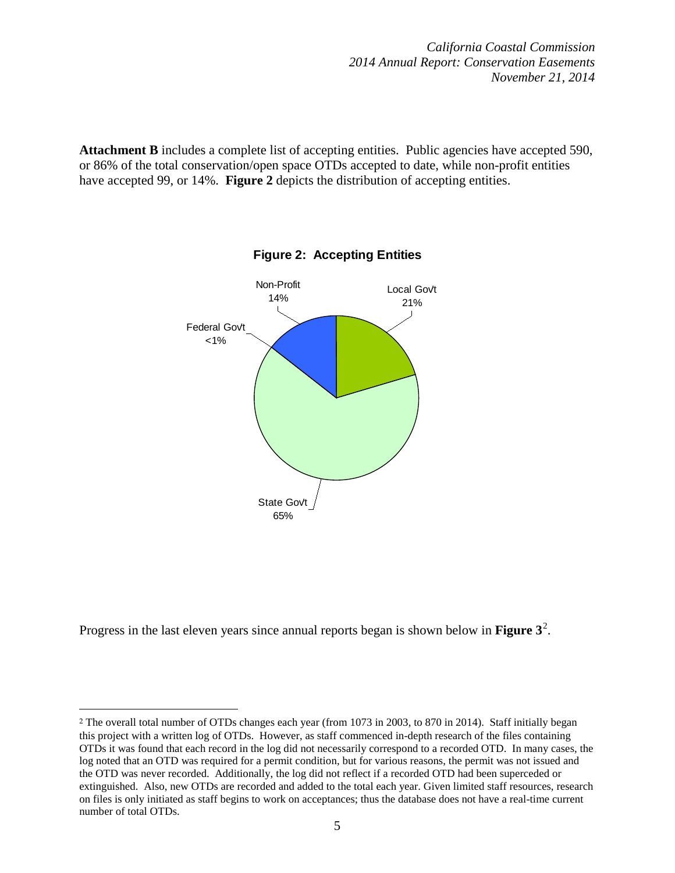Attachment B includes a complete list of accepting entities. Public agencies have accepted 590, or 86% of the total conservation/open space OTDs accepted to date, while non-profit entities have accepted 99, or 14%. **Figure 2** depicts the distribution of accepting entities.



Progress in the last eleven years since annual reports began is shown below in **Figure 3<sup>[2](#page-4-0)</sup>**.

 $\overline{a}$ 

<span id="page-4-0"></span><sup>2</sup> The overall total number of OTDs changes each year (from 1073 in 2003, to 870 in 2014). Staff initially began this project with a written log of OTDs. However, as staff commenced in-depth research of the files containing OTDs it was found that each record in the log did not necessarily correspond to a recorded OTD. In many cases, the log noted that an OTD was required for a permit condition, but for various reasons, the permit was not issued and the OTD was never recorded. Additionally, the log did not reflect if a recorded OTD had been superceded or extinguished. Also, new OTDs are recorded and added to the total each year. Given limited staff resources, research on files is only initiated as staff begins to work on acceptances; thus the database does not have a real-time current number of total OTDs.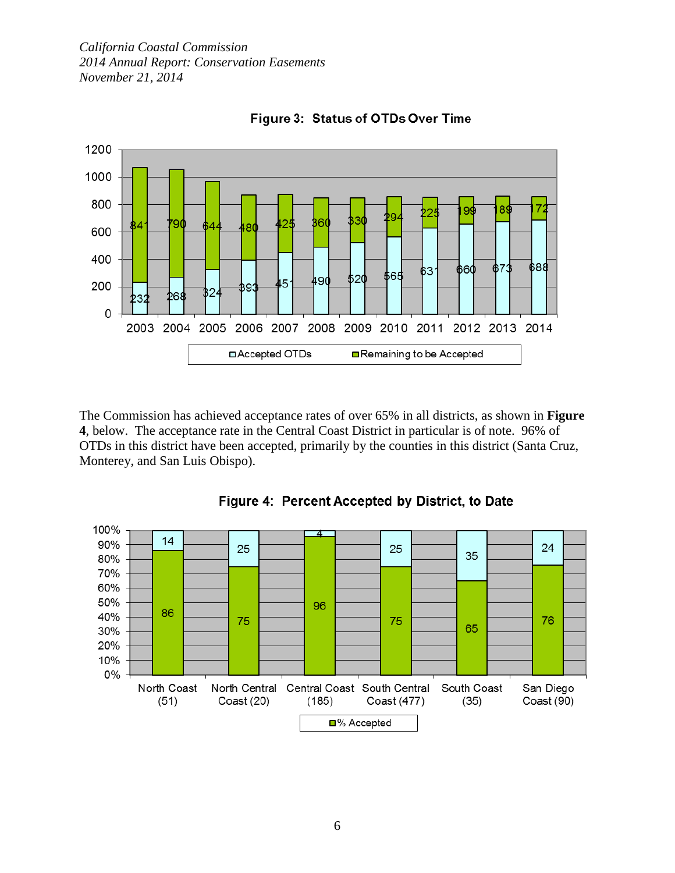

Figure 3: Status of OTDs Over Time

The Commission has achieved acceptance rates of over 65% in all districts, as shown in **Figure 4**, below. The acceptance rate in the Central Coast District in particular is of note. 96% of OTDs in this district have been accepted, primarily by the counties in this district (Santa Cruz, Monterey, and San Luis Obispo).



Figure 4: Percent Accepted by District, to Date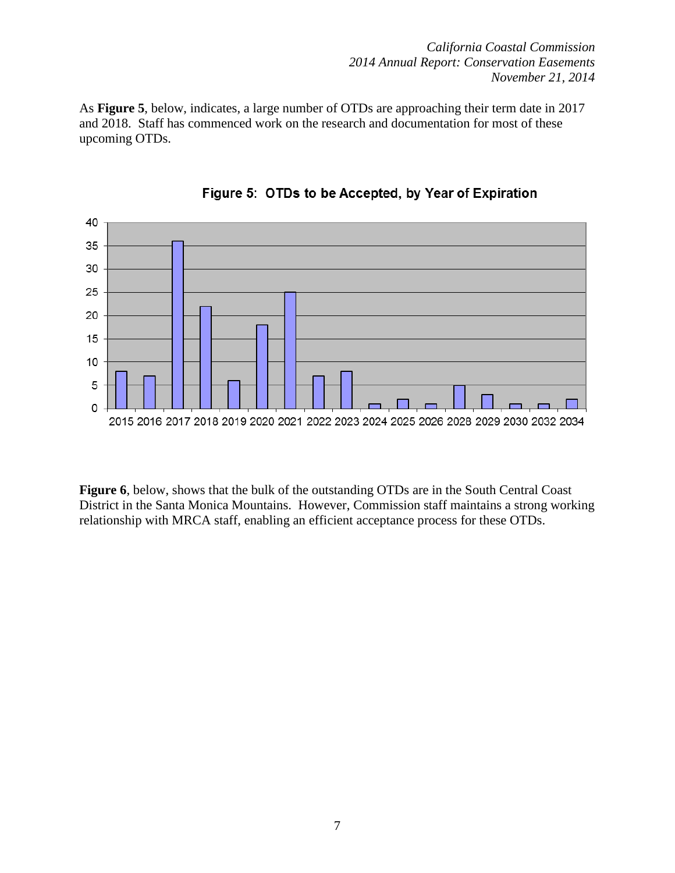As **Figure 5**, below, indicates, a large number of OTDs are approaching their term date in 2017 and 2018. Staff has commenced work on the research and documentation for most of these upcoming OTDs.



Figure 5: OTDs to be Accepted, by Year of Expiration

**Figure 6**, below, shows that the bulk of the outstanding OTDs are in the South Central Coast District in the Santa Monica Mountains. However, Commission staff maintains a strong working relationship with MRCA staff, enabling an efficient acceptance process for these OTDs.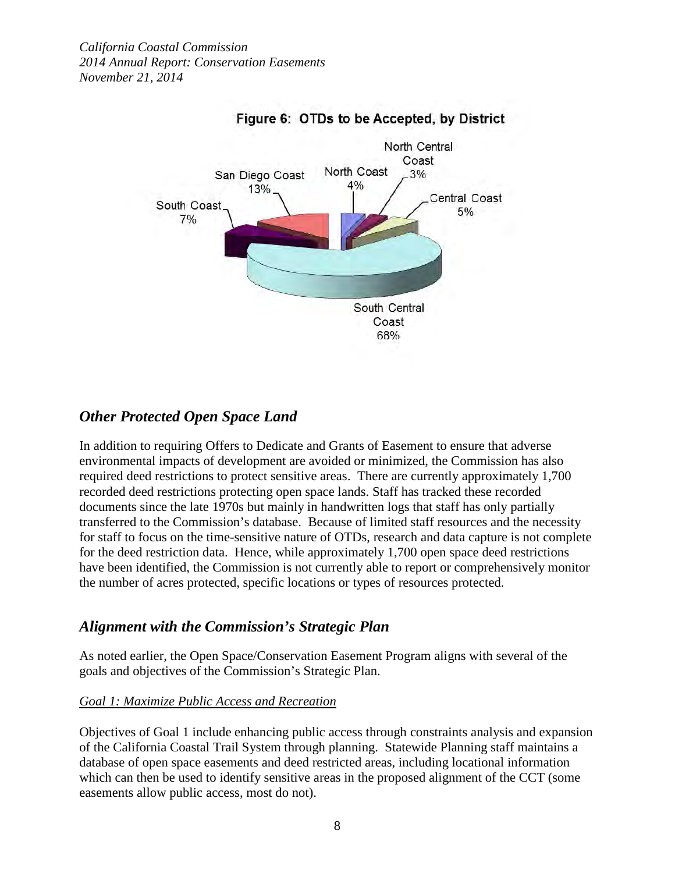

## Figure 6: OTDs to be Accepted, by District

## *Other Protected Open Space Land*

In addition to requiring Offers to Dedicate and Grants of Easement to ensure that adverse environmental impacts of development are avoided or minimized, the Commission has also required deed restrictions to protect sensitive areas. There are currently approximately 1,700 recorded deed restrictions protecting open space lands. Staff has tracked these recorded documents since the late 1970s but mainly in handwritten logs that staff has only partially transferred to the Commission's database. Because of limited staff resources and the necessity for staff to focus on the time-sensitive nature of OTDs, research and data capture is not complete for the deed restriction data. Hence, while approximately 1,700 open space deed restrictions have been identified, the Commission is not currently able to report or comprehensively monitor the number of acres protected, specific locations or types of resources protected.

## *Alignment with the Commission's Strategic Plan*

As noted earlier, the Open Space/Conservation Easement Program aligns with several of the goals and objectives of the Commission's Strategic Plan.

### *Goal 1: Maximize Public Access and Recreation*

Objectives of Goal 1 include enhancing public access through constraints analysis and expansion of the California Coastal Trail System through planning. Statewide Planning staff maintains a database of open space easements and deed restricted areas, including locational information which can then be used to identify sensitive areas in the proposed alignment of the CCT (some easements allow public access, most do not).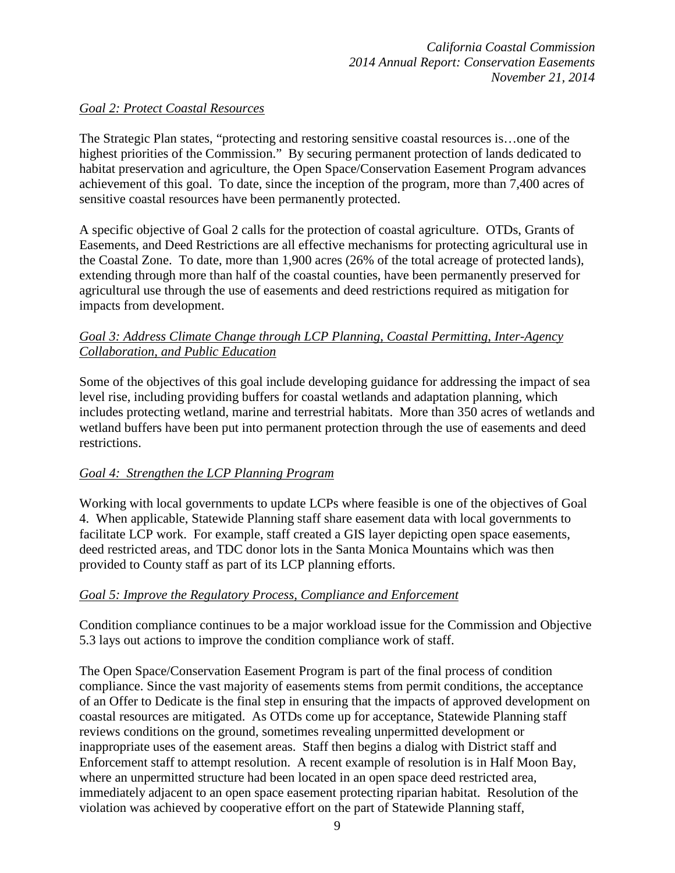#### *Goal 2: Protect Coastal Resources*

The Strategic Plan states, "protecting and restoring sensitive coastal resources is…one of the highest priorities of the Commission." By securing permanent protection of lands dedicated to habitat preservation and agriculture, the Open Space/Conservation Easement Program advances achievement of this goal. To date, since the inception of the program, more than 7,400 acres of sensitive coastal resources have been permanently protected.

A specific objective of Goal 2 calls for the protection of coastal agriculture. OTDs, Grants of Easements, and Deed Restrictions are all effective mechanisms for protecting agricultural use in the Coastal Zone. To date, more than 1,900 acres (26% of the total acreage of protected lands), extending through more than half of the coastal counties, have been permanently preserved for agricultural use through the use of easements and deed restrictions required as mitigation for impacts from development.

### *Goal 3: Address Climate Change through LCP Planning, Coastal Permitting, Inter-Agency Collaboration, and Public Education*

Some of the objectives of this goal include developing guidance for addressing the impact of sea level rise, including providing buffers for coastal wetlands and adaptation planning, which includes protecting wetland, marine and terrestrial habitats. More than 350 acres of wetlands and wetland buffers have been put into permanent protection through the use of easements and deed restrictions.

### *Goal 4: Strengthen the LCP Planning Program*

Working with local governments to update LCPs where feasible is one of the objectives of Goal 4. When applicable, Statewide Planning staff share easement data with local governments to facilitate LCP work. For example, staff created a GIS layer depicting open space easements, deed restricted areas, and TDC donor lots in the Santa Monica Mountains which was then provided to County staff as part of its LCP planning efforts.

### *Goal 5: Improve the Regulatory Process, Compliance and Enforcement*

Condition compliance continues to be a major workload issue for the Commission and Objective 5.3 lays out actions to improve the condition compliance work of staff.

The Open Space/Conservation Easement Program is part of the final process of condition compliance. Since the vast majority of easements stems from permit conditions, the acceptance of an Offer to Dedicate is the final step in ensuring that the impacts of approved development on coastal resources are mitigated. As OTDs come up for acceptance, Statewide Planning staff reviews conditions on the ground, sometimes revealing unpermitted development or inappropriate uses of the easement areas. Staff then begins a dialog with District staff and Enforcement staff to attempt resolution. A recent example of resolution is in Half Moon Bay, where an unpermitted structure had been located in an open space deed restricted area, immediately adjacent to an open space easement protecting riparian habitat. Resolution of the violation was achieved by cooperative effort on the part of Statewide Planning staff,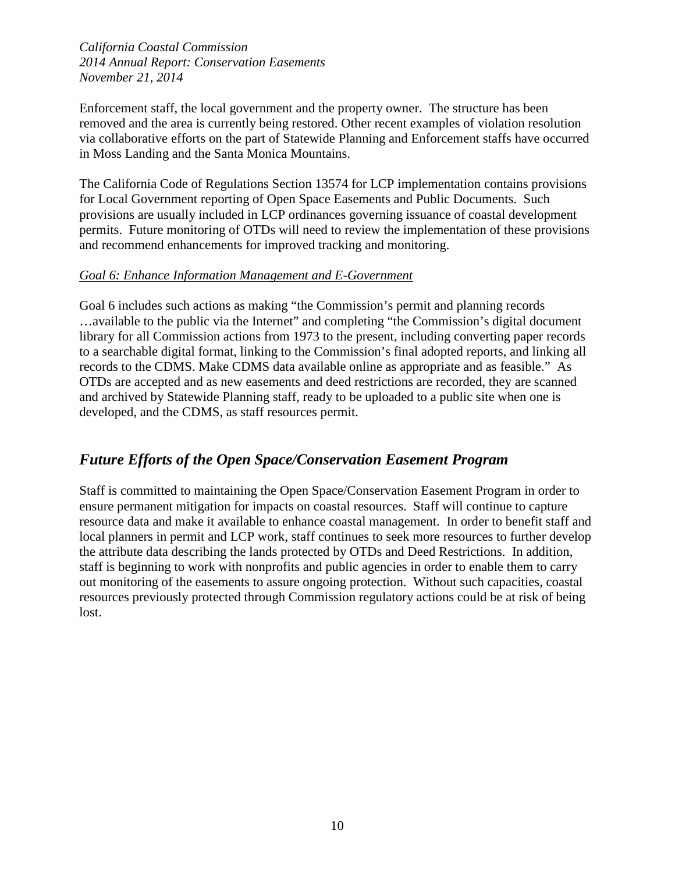Enforcement staff, the local government and the property owner. The structure has been removed and the area is currently being restored. Other recent examples of violation resolution via collaborative efforts on the part of Statewide Planning and Enforcement staffs have occurred in Moss Landing and the Santa Monica Mountains.

The California Code of Regulations Section 13574 for LCP implementation contains provisions for Local Government reporting of Open Space Easements and Public Documents. Such provisions are usually included in LCP ordinances governing issuance of coastal development permits. Future monitoring of OTDs will need to review the implementation of these provisions and recommend enhancements for improved tracking and monitoring.

#### *Goal 6: Enhance Information Management and E-Government*

Goal 6 includes such actions as making "the Commission's permit and planning records …available to the public via the Internet" and completing "the Commission's digital document library for all Commission actions from 1973 to the present, including converting paper records to a searchable digital format, linking to the Commission's final adopted reports, and linking all records to the CDMS. Make CDMS data available online as appropriate and as feasible." As OTDs are accepted and as new easements and deed restrictions are recorded, they are scanned and archived by Statewide Planning staff, ready to be uploaded to a public site when one is developed, and the CDMS, as staff resources permit.

## *Future Efforts of the Open Space/Conservation Easement Program*

Staff is committed to maintaining the Open Space/Conservation Easement Program in order to ensure permanent mitigation for impacts on coastal resources. Staff will continue to capture resource data and make it available to enhance coastal management. In order to benefit staff and local planners in permit and LCP work, staff continues to seek more resources to further develop the attribute data describing the lands protected by OTDs and Deed Restrictions. In addition, staff is beginning to work with nonprofits and public agencies in order to enable them to carry out monitoring of the easements to assure ongoing protection. Without such capacities, coastal resources previously protected through Commission regulatory actions could be at risk of being lost.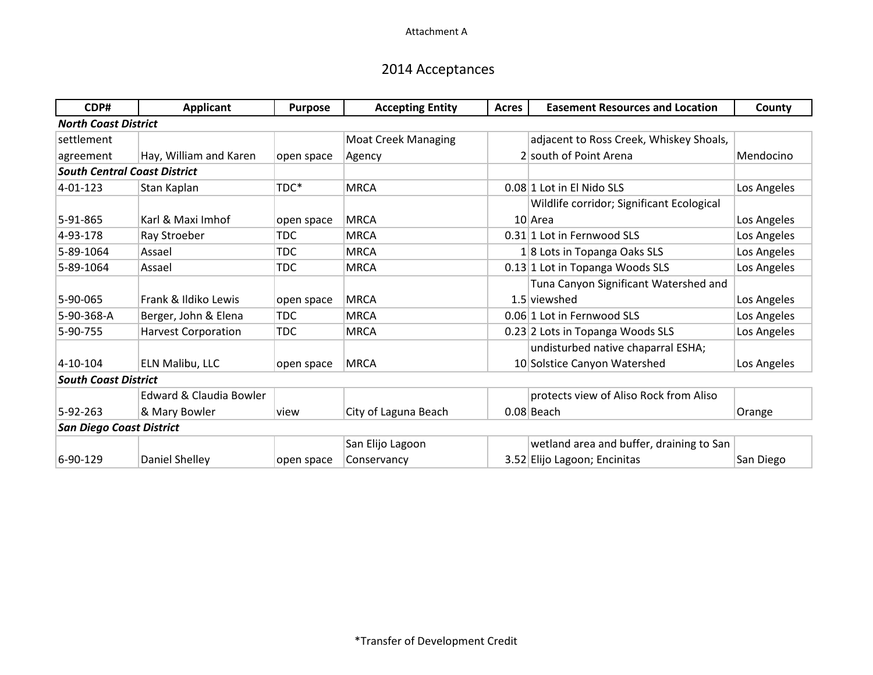# 2014 Acceptances

| CDP#                                | <b>Applicant</b>           | <b>Purpose</b> | <b>Accepting Entity</b>    | <b>Acres</b> | <b>Easement Resources and Location</b>    | County      |
|-------------------------------------|----------------------------|----------------|----------------------------|--------------|-------------------------------------------|-------------|
| <b>North Coast District</b>         |                            |                |                            |              |                                           |             |
| settlement                          |                            |                | <b>Moat Creek Managing</b> |              | adjacent to Ross Creek, Whiskey Shoals,   |             |
| agreement                           | Hay, William and Karen     | open space     | Agency                     |              | 2 south of Point Arena                    | Mendocino   |
| <b>South Central Coast District</b> |                            |                |                            |              |                                           |             |
| $4 - 01 - 123$                      | Stan Kaplan                | TDC*           | <b>MRCA</b>                |              | 0.08 1 Lot in El Nido SLS                 | Los Angeles |
|                                     |                            |                |                            |              | Wildlife corridor; Significant Ecological |             |
| $5-91-865$                          | Karl & Maxi Imhof          | open space     | <b>MRCA</b>                |              | 10 Area                                   | Los Angeles |
| 4-93-178                            | Ray Stroeber               | <b>TDC</b>     | <b>MRCA</b>                |              | 0.31 1 Lot in Fernwood SLS                | Los Angeles |
| 5-89-1064                           | Assael                     | <b>TDC</b>     | <b>MRCA</b>                |              | $1 8$ Lots in Topanga Oaks SLS            | Los Angeles |
| 5-89-1064                           | Assael                     | <b>TDC</b>     | <b>MRCA</b>                |              | 0.13 1 Lot in Topanga Woods SLS           | Los Angeles |
|                                     |                            |                |                            |              | Tuna Canyon Significant Watershed and     |             |
| 5-90-065                            | Frank & Ildiko Lewis       | open space     | <b>MRCA</b>                |              | 1.5 viewshed                              | Los Angeles |
| 5-90-368-A                          | Berger, John & Elena       | <b>TDC</b>     | <b>MRCA</b>                |              | 0.06 1 Lot in Fernwood SLS                | Los Angeles |
| 5-90-755                            | <b>Harvest Corporation</b> | <b>TDC</b>     | <b>MRCA</b>                |              | 0.23 2 Lots in Topanga Woods SLS          | Los Angeles |
|                                     |                            |                |                            |              | undisturbed native chaparral ESHA;        |             |
| $ 4 - 10 - 104 $                    | ELN Malibu, LLC            | open space     | <b>MRCA</b>                |              | 10 Solstice Canyon Watershed              | Los Angeles |
| <b>South Coast District</b>         |                            |                |                            |              |                                           |             |
|                                     | Edward & Claudia Bowler    |                |                            |              | protects view of Aliso Rock from Aliso    |             |
| 5-92-263                            | & Mary Bowler              | view           | City of Laguna Beach       |              | 0.08 Beach                                | Orange      |
| <b>San Diego Coast District</b>     |                            |                |                            |              |                                           |             |
|                                     |                            |                | San Elijo Lagoon           |              | wetland area and buffer, draining to San  |             |
| 6-90-129                            | Daniel Shelley             | open space     | Conservancy                |              | 3.52 Elijo Lagoon; Encinitas              | San Diego   |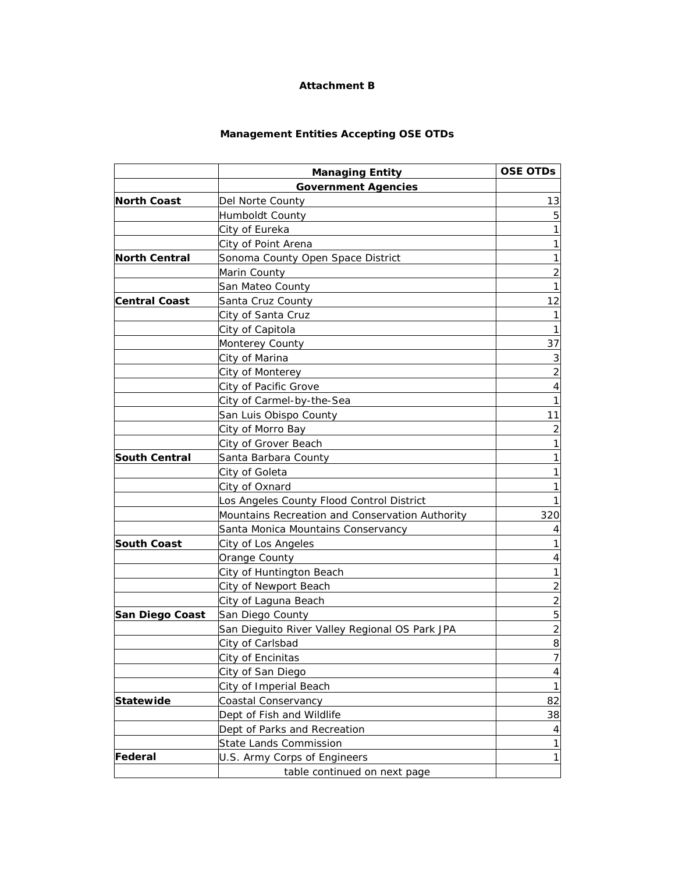#### **Attachment B**

#### **Management Entities Accepting OSE OTDs**

|                      | <b>Managing Entity</b>                          | <b>OSE OTDS</b> |
|----------------------|-------------------------------------------------|-----------------|
|                      | <b>Government Agencies</b>                      |                 |
| <b>North Coast</b>   | Del Norte County                                | 13              |
|                      | Humboldt County                                 |                 |
|                      | City of Eureka                                  |                 |
|                      | City of Point Arena                             | 1               |
| <b>North Central</b> | Sonoma County Open Space District               |                 |
|                      | Marin County                                    | $\overline{2}$  |
|                      | San Mateo County                                | 1               |
| <b>Central Coast</b> | Santa Cruz County                               | 12              |
|                      | City of Santa Cruz                              |                 |
|                      | City of Capitola                                |                 |
|                      | Monterey County                                 | 37              |
|                      | City of Marina                                  | 3               |
|                      | City of Monterey                                | 2               |
|                      | City of Pacific Grove                           | 4               |
|                      | City of Carmel-by-the-Sea                       |                 |
|                      | San Luis Obispo County                          | 11              |
|                      | City of Morro Bay                               | 2               |
|                      | City of Grover Beach                            |                 |
| <b>South Central</b> | Santa Barbara County                            |                 |
|                      | City of Goleta                                  |                 |
|                      | City of Oxnard                                  |                 |
|                      | Los Angeles County Flood Control District       |                 |
|                      | Mountains Recreation and Conservation Authority | 320             |
|                      | Santa Monica Mountains Conservancy              | 4               |
| <b>South Coast</b>   | City of Los Angeles                             |                 |
|                      | Orange County                                   | 4               |
|                      | <b>City of Huntington Beach</b>                 |                 |
|                      | City of Newport Beach                           | 2               |
|                      | City of Laguna Beach                            | 2               |
| San Diego Coast      | San Diego County                                | 5               |
|                      | San Dieguito River Valley Regional OS Park JPA  | $\overline{2}$  |
|                      | City of Carlsbad                                | 8               |
|                      | City of Encinitas                               | $\overline{7}$  |
|                      | City of San Diego                               | 4               |
|                      | City of Imperial Beach                          | $\mathbf 1$     |
| <b>Statewide</b>     | Coastal Conservancy                             | 82              |
|                      | Dept of Fish and Wildlife                       | 38              |
|                      | Dept of Parks and Recreation                    | 4               |
|                      | <b>State Lands Commission</b>                   | 1               |
| Federal              | U.S. Army Corps of Engineers                    | 1               |
|                      | table continued on next page                    |                 |